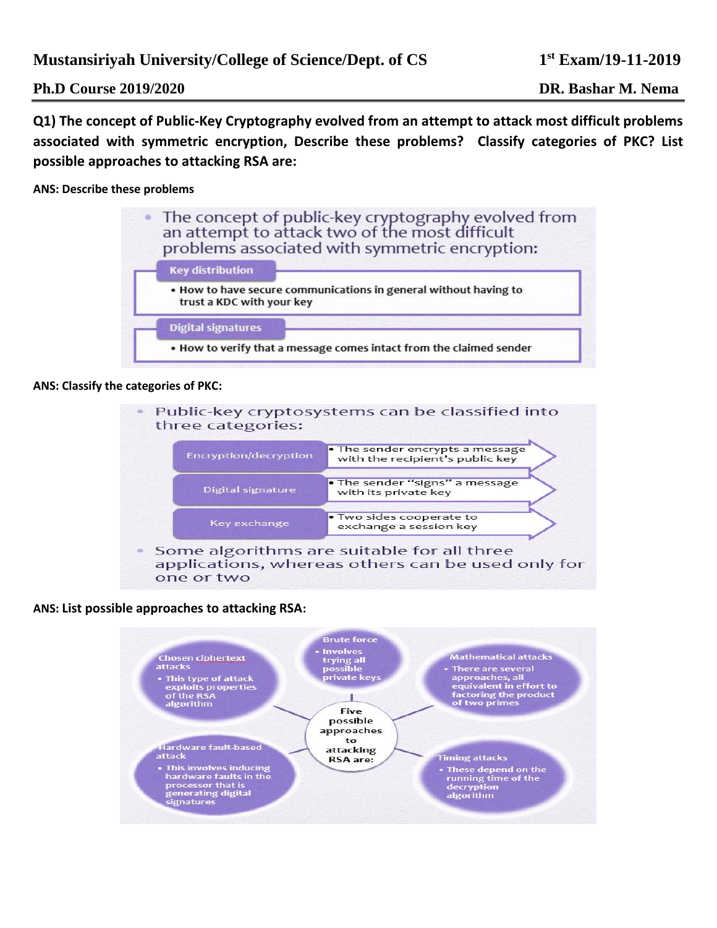**Ph.D Course 2019/2020 DR. Bashar M. Nema**

**Q1) The concept of Public-Key Cryptography evolved from an attempt to attack most difficult problems associated with symmetric encryption, Describe these problems? Classify categories of PKC? List possible approaches to attacking RSA are:**

**ANS: Describe these problems**



#### **ANS: Classify the categories of PKC:**

Public-key cryptosystems can be classified into three categories:

| Encryption/decryption | . The sender encrypts a message<br>with the recipient's public key |
|-----------------------|--------------------------------------------------------------------|
| Digital signature     | . The sender "signs" a message<br>with its private key             |
| Key exchange          | . Two sides cooperate to<br>exchange a session key                 |

• Some algorithms are suitable for all three applications, whereas others can be used only for one or two

### **ANS: List possible approaches to attacking RSA:**

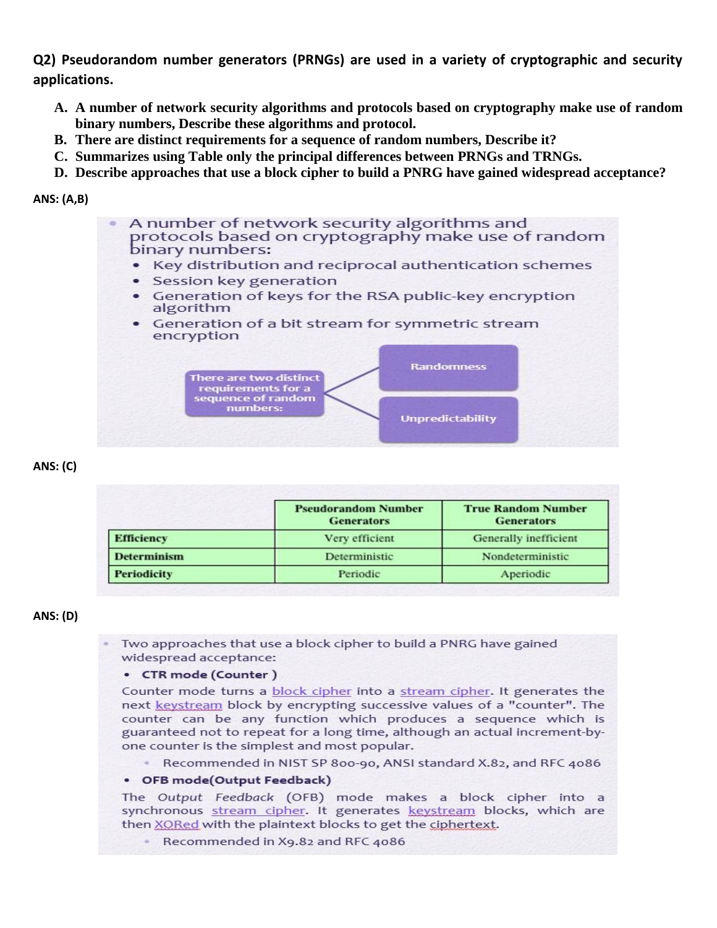**Q2) Pseudorandom number generators (PRNGs) are used in a variety of cryptographic and security applications.** 

- **A. A number of network security algorithms and protocols based on cryptography make use of random binary numbers, Describe these algorithms and protocol.**
- **B. There are distinct requirements for a sequence of random numbers, Describe it?**
- **C. Summarizes using Table only the principal differences between PRNGs and TRNGs.**
- **D. Describe approaches that use a block cipher to build a PNRG have gained widespread acceptance?**

#### **ANS: (A,B)**

A number of network security algorithms and protocols based on cryptography make use of random binary numbers:

- Key distribution and reciprocal authentication schemes
- · Session key generation
- Generation of keys for the RSA public-key encryption algorithm
- Generation of a bit stream for symmetric stream encryption



### **ANS: (C)**

|                    | <b>Pseudorandom Number</b><br><b>Generators</b> | <b>True Random Number</b><br><b>Generators</b> |
|--------------------|-------------------------------------------------|------------------------------------------------|
| <b>Efficiency</b>  | Very efficient                                  | Generally inefficient                          |
| <b>Determinism</b> | Deterministic                                   | Nondeterministic                               |
| <b>Periodicity</b> | Periodic                                        | Aperiodic                                      |

### **ANS: (D)**

Two approaches that use a block cipher to build a PNRG have gained widespread acceptance:

#### • CTR mode (Counter)

Counter mode turns a block cipher into a stream cipher. It generates the next keystream block by encrypting successive values of a "counter". The counter can be any function which produces a sequence which is guaranteed not to repeat for a long time, although an actual increment-byone counter is the simplest and most popular.

Recommended in NIST SP 800-90, ANSI standard X.82, and RFC 4086

### • OFB mode(Output Feedback)

The Output Feedback (OFB) mode makes a block cipher into a synchronous stream cipher. It generates keystream blocks, which are then XORed with the plaintext blocks to get the ciphertext.

Recommended in X9.82 and RFC 4086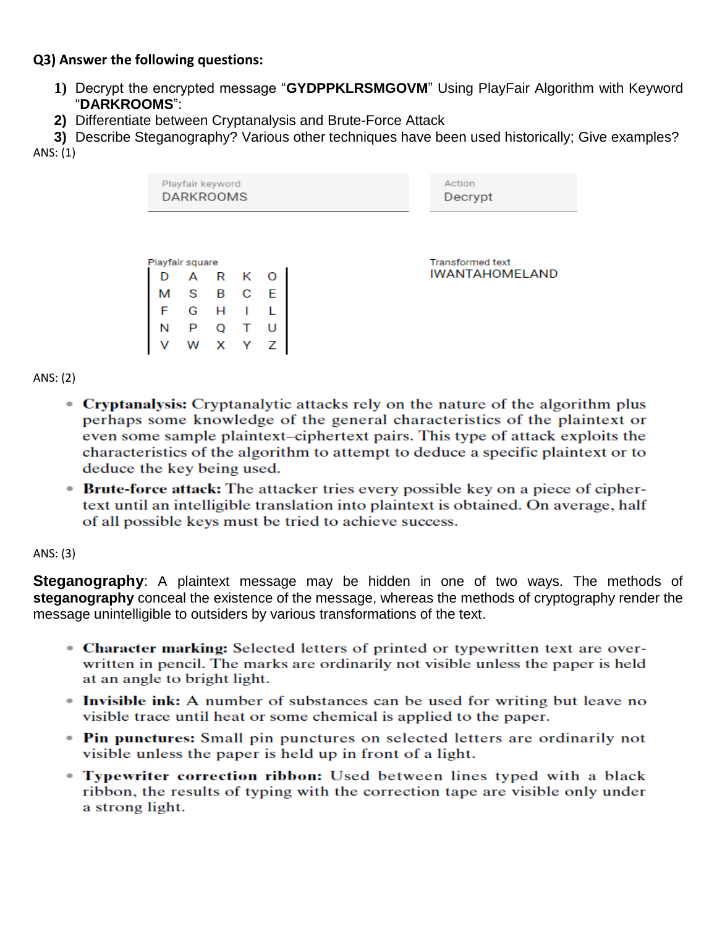# **Q3) Answer the following questions:**

- **1)** Decrypt the encrypted message "**GYDPPKLRSMGOVM**" Using PlayFair Algorithm with Keyword "**DARKROOMS**":
- **2)** Differentiate between Cryptanalysis and Brute-Force Attack

**3)** Describe Steganography? Various other techniques have been used historically; Give examples? ANS: (1)



ANS: (2)

- Cryptanalysis: Cryptanalytic attacks rely on the nature of the algorithm plus perhaps some knowledge of the general characteristics of the plaintext or even some sample plaintext-ciphertext pairs. This type of attack exploits the characteristics of the algorithm to attempt to deduce a specific plaintext or to deduce the key being used.
- Brute-force attack: The attacker tries every possible key on a piece of ciphertext until an intelligible translation into plaintext is obtained. On average, half of all possible keys must be tried to achieve success.

## ANS: (3)

**Steganography**: A plaintext message may be hidden in one of two ways. The methods of **steganography** conceal the existence of the message, whereas the methods of cryptography render the message unintelligible to outsiders by various transformations of the text.

- Character marking: Selected letters of printed or typewritten text are overwritten in pencil. The marks are ordinarily not visible unless the paper is held at an angle to bright light.
- Invisible ink: A number of substances can be used for writing but leave no visible trace until heat or some chemical is applied to the paper.
- Pin punctures: Small pin punctures on selected letters are ordinarily not visible unless the paper is held up in front of a light.
- Typewriter correction ribbon: Used between lines typed with a black ribbon, the results of typing with the correction tape are visible only under a strong light.